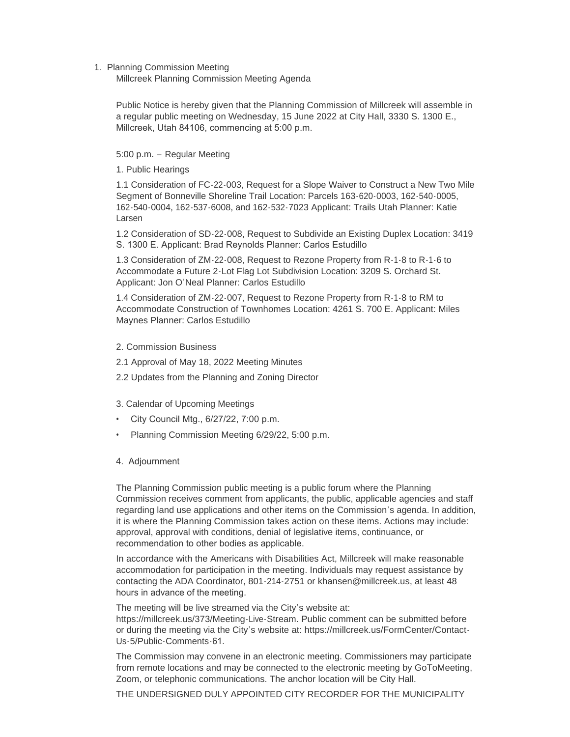1. Planning Commission Meeting

Millcreek Planning Commission Meeting Agenda

Public Notice is hereby given that the Planning Commission of Millcreek will assemble in a regular public meeting on Wednesday, 15 June 2022 at City Hall, 3330 S. 1300 E., Millcreek, Utah 84106, commencing at 5:00 p.m.

5:00 p.m. – Regular Meeting

1. Public Hearings

1.1 Consideration of FC-22-003, Request for a Slope Waiver to Construct a New Two Mile Segment of Bonneville Shoreline Trail Location: Parcels 163-620-0003, 162-540-0005, 162-540-0004, 162-537-6008, and 162-532-7023 Applicant: Trails Utah Planner: Katie Larsen

1.2 Consideration of SD-22-008, Request to Subdivide an Existing Duplex Location: 3419 S. 1300 E. Applicant: Brad Reynolds Planner: Carlos Estudillo

1.3 Consideration of ZM-22-008, Request to Rezone Property from R-1-8 to R-1-6 to Accommodate a Future 2-Lot Flag Lot Subdivision Location: 3209 S. Orchard St. Applicant: Jon O'Neal Planner: Carlos Estudillo

1.4 Consideration of ZM-22-007, Request to Rezone Property from R-1-8 to RM to Accommodate Construction of Townhomes Location: 4261 S. 700 E. Applicant: Miles Maynes Planner: Carlos Estudillo

- 2. Commission Business
- 2.1 Approval of May 18, 2022 Meeting Minutes
- 2.2 Updates from the Planning and Zoning Director
- 3. Calendar of Upcoming Meetings
- City Council Mtg., 6/27/22, 7:00 p.m.
- Planning Commission Meeting 6/29/22, 5:00 p.m.
- 4. Adjournment

The Planning Commission public meeting is a public forum where the Planning Commission receives comment from applicants, the public, applicable agencies and staff regarding land use applications and other items on the Commission's agenda. In addition, it is where the Planning Commission takes action on these items. Actions may include: approval, approval with conditions, denial of legislative items, continuance, or recommendation to other bodies as applicable.

In accordance with the Americans with Disabilities Act, Millcreek will make reasonable accommodation for participation in the meeting. Individuals may request assistance by contacting the ADA Coordinator, 801-214-2751 or khansen@millcreek.us, at least 48 hours in advance of the meeting.

The meeting will be live streamed via the City's website at: https://millcreek.us/373/Meeting-Live-Stream. Public comment can be submitted before or during the meeting via the City's website at: https://millcreek.us/FormCenter/Contact-Us-5/Public-Comments-61.

The Commission may convene in an electronic meeting. Commissioners may participate from remote locations and may be connected to the electronic meeting by GoToMeeting, Zoom, or telephonic communications. The anchor location will be City Hall.

THE UNDERSIGNED DULY APPOINTED CITY RECORDER FOR THE MUNICIPALITY